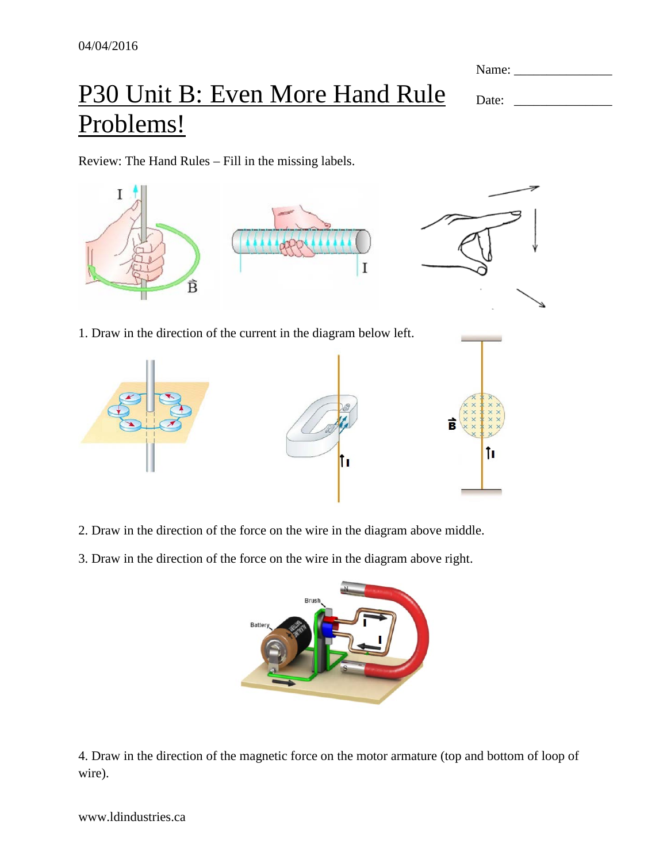Name: \_\_\_\_\_\_\_\_\_\_\_\_\_\_\_

Date: \_\_\_\_\_\_\_\_\_\_\_\_\_\_\_

## P30 Unit B: Even More Hand Rule Problems!

Review: The Hand Rules – Fill in the missing labels.





- 2. Draw in the direction of the force on the wire in the diagram above middle.
- 3. Draw in the direction of the force on the wire in the diagram above right.



4. Draw in the direction of the magnetic force on the motor armature (top and bottom of loop of wire).